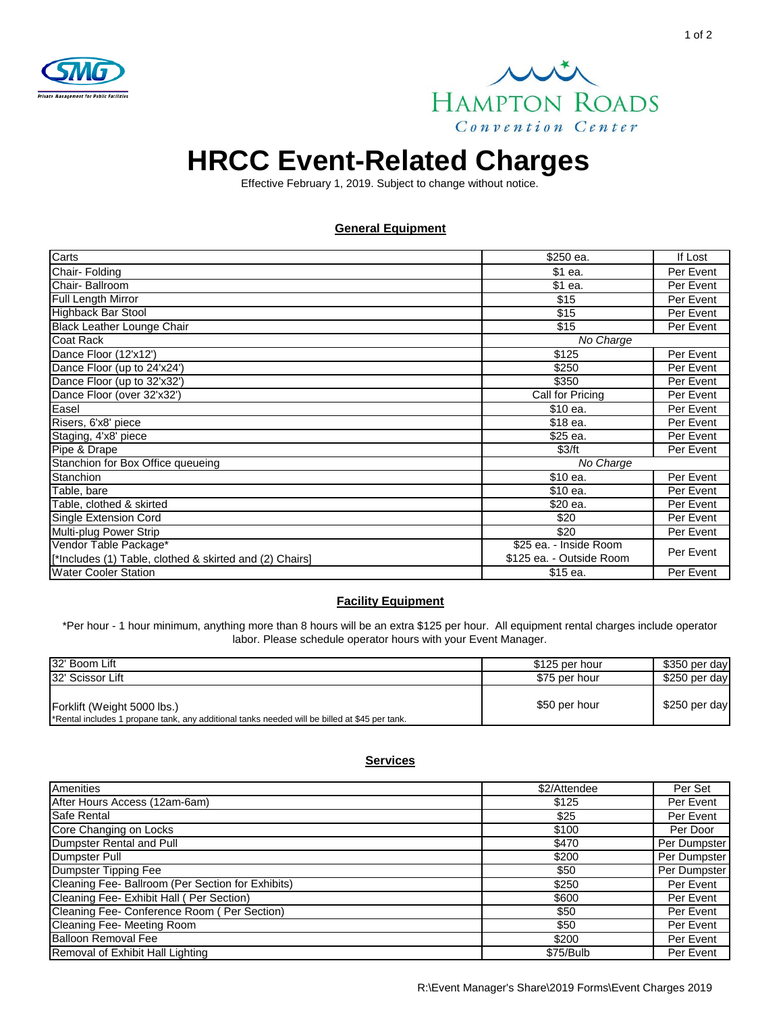



# **HRCC Event-Related Charges**

Effective February 1, 2019. Subject to change without notice.

### **General Equipment**

| Carts                                                   | \$250 ea.                | If Lost   |
|---------------------------------------------------------|--------------------------|-----------|
| Chair-Folding                                           | \$1 ea.                  | Per Event |
| Chair-Ballroom                                          | \$1 ea.                  | Per Event |
| Full Length Mirror                                      | \$15                     | Per Event |
| <b>Highback Bar Stool</b>                               | \$15                     | Per Event |
| <b>Black Leather Lounge Chair</b>                       | \$15                     | Per Event |
| <b>Coat Rack</b>                                        | $\overline{No}$ Charge   |           |
| Dance Floor (12'x12')                                   | \$125                    | Per Event |
| Dance Floor (up to 24'x24')                             | \$250                    | Per Event |
| Dance Floor (up to 32'x32')                             | \$350                    | Per Event |
| Dance Floor (over 32'x32')                              | Call for Pricing         | Per Event |
| Easel                                                   | \$10 ea.                 | Per Event |
| Risers, 6'x8' piece                                     | \$18 ea.                 | Per Event |
| Staging, 4'x8' piece                                    | \$25 ea.                 | Per Event |
| Pipe & Drape                                            | \$3/ft                   | Per Event |
| Stanchion for Box Office queueing                       | No Charge                |           |
| Stanchion                                               | \$10 ea.                 | Per Event |
| Table, bare                                             | \$10 ea.                 | Per Event |
| Table, clothed & skirted                                | \$20 ea.                 | Per Event |
| Single Extension Cord                                   | \$20                     | Per Event |
| Multi-plug Power Strip                                  | \$20                     | Per Event |
| Vendor Table Package*                                   | \$25 ea. - Inside Room   | Per Event |
| [*Includes (1) Table, clothed & skirted and (2) Chairs] | \$125 ea. - Outside Room |           |
| <b>Water Cooler Station</b>                             | \$15 ea.                 | Per Event |

#### **Facility Equipment**

\*Per hour - 1 hour minimum, anything more than 8 hours will be an extra \$125 per hour. All equipment rental charges include operator labor. Please schedule operator hours with your Event Manager.

| 32' Boom Lift                                                                                                                | \$125 per hour | \$350 per day |
|------------------------------------------------------------------------------------------------------------------------------|----------------|---------------|
| 32' Scissor Lift                                                                                                             | \$75 per hour  | \$250 per day |
| Forklift (Weight 5000 lbs.)<br>*Rental includes 1 propane tank, any additional tanks needed will be billed at \$45 per tank. | \$50 per hour  | \$250 per day |

## **Services**

| <b>Amenities</b>                                  | \$2/Attendee | Per Set      |
|---------------------------------------------------|--------------|--------------|
| After Hours Access (12am-6am)                     | \$125        | Per Event    |
| Safe Rental                                       | \$25         | Per Event    |
| Core Changing on Locks                            | \$100        | Per Door     |
| Dumpster Rental and Pull                          | \$470        | Per Dumpster |
| Dumpster Pull                                     | \$200        | Per Dumpster |
| Dumpster Tipping Fee                              | \$50         | Per Dumpster |
| Cleaning Fee- Ballroom (Per Section for Exhibits) | \$250        | Per Event    |
| Cleaning Fee- Exhibit Hall (Per Section)          | \$600        | Per Event    |
| Cleaning Fee- Conference Room (Per Section)       | \$50         | Per Event    |
| <b>Cleaning Fee- Meeting Room</b>                 | \$50         | Per Event    |
| <b>Balloon Removal Fee</b>                        | \$200        | Per Event    |
| Removal of Exhibit Hall Lighting                  | \$75/Bulb    | Per Event    |